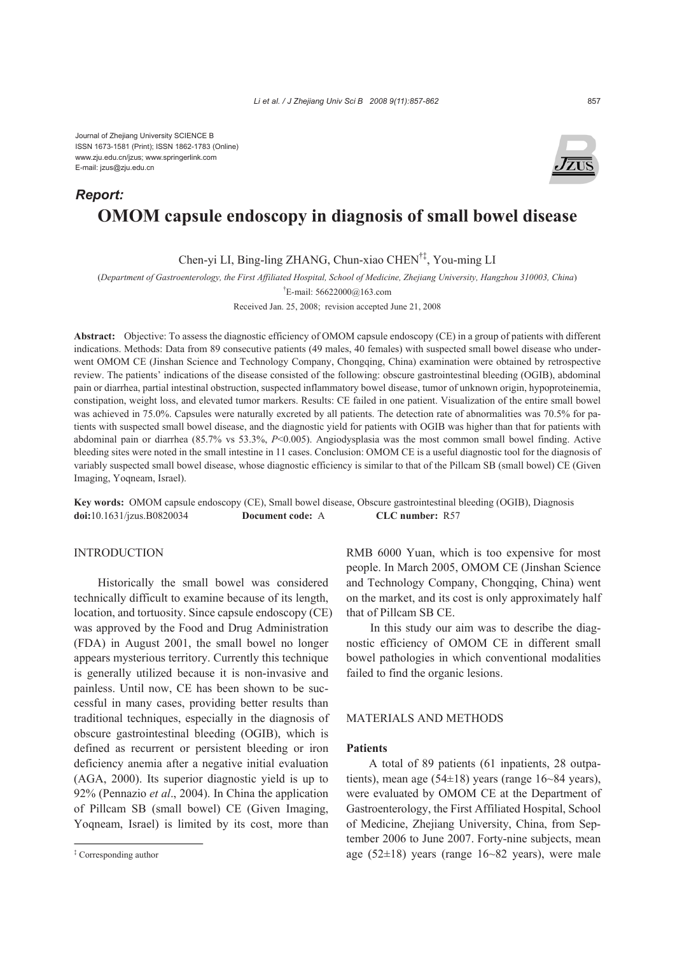Journal of Zhejiang University SCIENCE B ISSN 1673-1581 (Print); ISSN 1862-1783 (Online) www.zju.edu.cn/jzus; www.springerlink.com E-mail: jzus@zju.edu.cn

# **OMOM capsule endoscopy in diagnosis of small bowel disease**  *Report:*

Chen-yi LI, Bing-ling ZHANG, Chun-xiao CHEN†‡, You-ming LI

(*Department of Gastroenterology, the First Affiliated Hospital, School of Medicine, Zhejiang University, Hangzhou 310003, China*)

† E-mail: 56622000@163.com

Received Jan. 25, 2008; revision accepted June 21, 2008

**Abstract:** Objective: To assess the diagnostic efficiency of OMOM capsule endoscopy (CE) in a group of patients with different indications. Methods: Data from 89 consecutive patients (49 males, 40 females) with suspected small bowel disease who underwent OMOM CE (Jinshan Science and Technology Company, Chongqing, China) examination were obtained by retrospective review. The patients' indications of the disease consisted of the following: obscure gastrointestinal bleeding (OGIB), abdominal pain or diarrhea, partial intestinal obstruction, suspected inflammatory bowel disease, tumor of unknown origin, hypoproteinemia, constipation, weight loss, and elevated tumor markers. Results: CE failed in one patient. Visualization of the entire small bowel was achieved in 75.0%. Capsules were naturally excreted by all patients. The detection rate of abnormalities was 70.5% for patients with suspected small bowel disease, and the diagnostic yield for patients with OGIB was higher than that for patients with abdominal pain or diarrhea (85.7% vs 53.3%, *P*<0.005). Angiodysplasia was the most common small bowel finding. Active bleeding sites were noted in the small intestine in 11 cases. Conclusion: OMOM CE is a useful diagnostic tool for the diagnosis of variably suspected small bowel disease, whose diagnostic efficiency is similar to that of the Pillcam SB (small bowel) CE (Given Imaging, Yoqneam, Israel).

**Key words:** OMOM capsule endoscopy (CE), Small bowel disease, Obscure gastrointestinal bleeding (OGIB), Diagnosis **doi:**10.1631/jzus.B0820034 **Document code:** A **CLC number:** R57

## INTRODUCTION

Historically the small bowel was considered technically difficult to examine because of its length, location, and tortuosity. Since capsule endoscopy (CE) was approved by the Food and Drug Administration (FDA) in August 2001, the small bowel no longer appears mysterious territory. Currently this technique is generally utilized because it is non-invasive and painless. Until now, CE has been shown to be successful in many cases, providing better results than traditional techniques, especially in the diagnosis of obscure gastrointestinal bleeding (OGIB), which is defined as recurrent or persistent bleeding or iron deficiency anemia after a negative initial evaluation (AGA, 2000). Its superior diagnostic yield is up to 92% (Pennazio *et al*., 2004). In China the application of Pillcam SB (small bowel) CE (Given Imaging, Yoqneam, Israel) is limited by its cost, more than

RMB 6000 Yuan, which is too expensive for most people. In March 2005, OMOM CE (Jinshan Science and Technology Company, Chongqing, China) went on the market, and its cost is only approximately half that of Pillcam SB CE.

In this study our aim was to describe the diagnostic efficiency of OMOM CE in different small bowel pathologies in which conventional modalities failed to find the organic lesions.

## MATERIALS AND METHODS

#### **Patients**

A total of 89 patients (61 inpatients, 28 outpatients), mean age (54±18) years (range 16~84 years), were evaluated by OMOM CE at the Department of Gastroenterology, the First Affiliated Hospital, School of Medicine, Zhejiang University, China, from September 2006 to June 2007. Forty-nine subjects, mean age (52 $\pm$ 18) years (range 16~82 years), were male



<sup>‡</sup> Corresponding author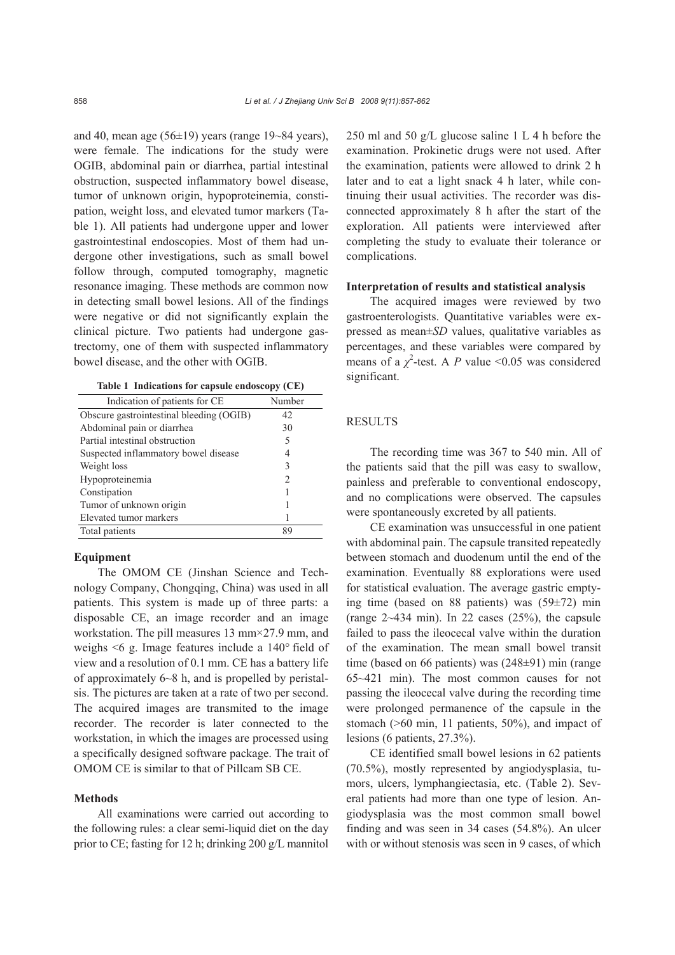and 40, mean age  $(56\pm19)$  years (range 19~84 years), were female. The indications for the study were OGIB, abdominal pain or diarrhea, partial intestinal obstruction, suspected inflammatory bowel disease, tumor of unknown origin, hypoproteinemia, constipation, weight loss, and elevated tumor markers (Table 1). All patients had undergone upper and lower gastrointestinal endoscopies. Most of them had undergone other investigations, such as small bowel follow through, computed tomography, magnetic resonance imaging. These methods are common now in detecting small bowel lesions. All of the findings were negative or did not significantly explain the clinical picture. Two patients had undergone gastrectomy, one of them with suspected inflammatory bowel disease, and the other with OGIB.

**Table 1 Indications for capsule endoscopy (CE)**

| Indication of patients for CE            | Number |
|------------------------------------------|--------|
| Obscure gastrointestinal bleeding (OGIB) | 42     |
| Abdominal pain or diarrhea               | 30     |
| Partial intestinal obstruction           | 5      |
| Suspected inflammatory bowel disease     | 4      |
| Weight loss                              | 3      |
| Hypoproteinemia                          | 2      |
| Constipation                             |        |
| Tumor of unknown origin                  |        |
| Elevated tumor markers                   |        |
| Total patients                           | 89     |

#### **Equipment**

The OMOM CE (Jinshan Science and Technology Company, Chongqing, China) was used in all patients. This system is made up of three parts: a disposable CE, an image recorder and an image workstation. The pill measures 13 mm×27.9 mm, and weighs <6 g. Image features include a 140° field of view and a resolution of 0.1 mm. CE has a battery life of approximately 6~8 h, and is propelled by peristalsis. The pictures are taken at a rate of two per second. The acquired images are transmited to the image recorder. The recorder is later connected to the workstation, in which the images are processed using a specifically designed software package. The trait of OMOM CE is similar to that of Pillcam SB CE.

## **Methods**

All examinations were carried out according to the following rules: a clear semi-liquid diet on the day prior to CE; fasting for 12 h; drinking 200 g/L mannitol 250 ml and 50 g/L glucose saline 1 L 4 h before the examination. Prokinetic drugs were not used. After the examination, patients were allowed to drink 2 h later and to eat a light snack 4 h later, while continuing their usual activities. The recorder was disconnected approximately 8 h after the start of the exploration. All patients were interviewed after completing the study to evaluate their tolerance or complications.

#### **Interpretation of results and statistical analysis**

The acquired images were reviewed by two gastroenterologists. Quantitative variables were expressed as mean±*SD* values, qualitative variables as percentages, and these variables were compared by means of a  $\chi^2$ -test. A *P* value <0.05 was considered significant.

## **RESULTS**

The recording time was 367 to 540 min. All of the patients said that the pill was easy to swallow, painless and preferable to conventional endoscopy, and no complications were observed. The capsules were spontaneously excreted by all patients.

CE examination was unsuccessful in one patient with abdominal pain. The capsule transited repeatedly between stomach and duodenum until the end of the examination. Eventually 88 explorations were used for statistical evaluation. The average gastric emptying time (based on 88 patients) was (59±72) min (range  $2 \sim 434$  min). In 22 cases  $(25\%)$ , the capsule failed to pass the ileocecal valve within the duration of the examination. The mean small bowel transit time (based on 66 patients) was (248±91) min (range 65~421 min). The most common causes for not passing the ileocecal valve during the recording time were prolonged permanence of the capsule in the stomach (>60 min, 11 patients, 50%), and impact of lesions (6 patients, 27.3%).

CE identified small bowel lesions in 62 patients (70.5%), mostly represented by angiodysplasia, tumors, ulcers, lymphangiectasia, etc. (Table 2). Several patients had more than one type of lesion. Angiodysplasia was the most common small bowel finding and was seen in 34 cases (54.8%). An ulcer with or without stenosis was seen in 9 cases, of which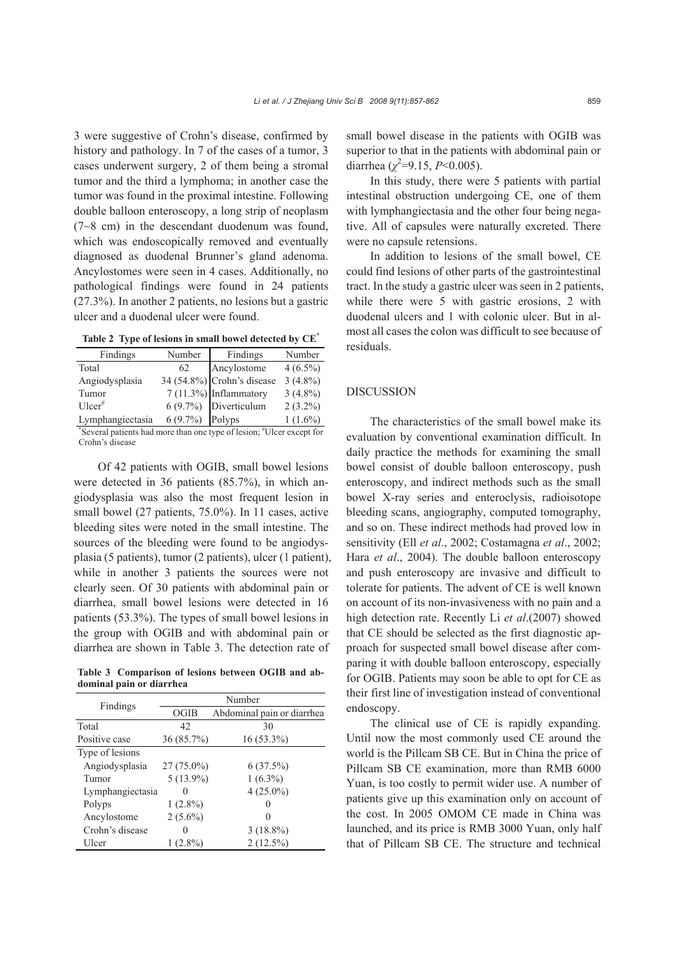3 were suggestive of Crohn's disease, confirmed by history and pathology. In 7 of the cases of a tumor, 3 cases underwent surgery, 2 of them being a stromal tumor and the third a lymphoma; in another case the tumor was found in the proximal intestine. Following double balloon enteroscopy, a long strip of neoplasm (7~8 cm) in the descendant duodenum was found, which was endoscopically removed and eventually diagnosed as duodenal Brunner's gland adenoma. Ancylostomes were seen in 4 cases. Additionally, no pathological findings were found in 24 patients (27.3%). In another 2 patients, no lesions but a gastric ulcer and a duodenal ulcer were found.

**Table 2 Type of lesions in small bowel detected by CE\***

| Findings         | Number          | Findings                      | Number     |
|------------------|-----------------|-------------------------------|------------|
| Total            | 62              | Ancylostome                   | $4(6.5\%)$ |
| Angiodysplasia   |                 | 34 $(54.8\%)$ Crohn's disease | $3(4.8\%)$ |
| Tumor            |                 | 7 (11.3%) Inflammatory        | $3(4.8\%)$ |
| $Uler^*$         |                 | 6 (9.7%) Diverticulum         | $2(3.2\%)$ |
| Lymphangiectasia | 6 (9.7%) Polyps |                               | $1(1.6\%)$ |

\* Several patients had more than one type of lesion; # Ulcer except for Crohn's disease

Of 42 patients with OGIB, small bowel lesions were detected in 36 patients (85.7%), in which angiodysplasia was also the most frequent lesion in small bowel (27 patients, 75.0%). In 11 cases, active bleeding sites were noted in the small intestine. The sources of the bleeding were found to be angiodysplasia (5 patients), tumor (2 patients), ulcer (1 patient), while in another 3 patients the sources were not clearly seen. Of 30 patients with abdominal pain or diarrhea, small bowel lesions were detected in 16 patients (53.3%). The types of small bowel lesions in the group with OGIB and with abdominal pain or diarrhea are shown in Table 3. The detection rate of

**Table 3 Comparison of lesions between OGIB and abdominal pain or diarrhea** 

| Findings         | Number            |                            |  |
|------------------|-------------------|----------------------------|--|
|                  | <b>OGIB</b>       | Abdominal pain or diarrhea |  |
| Total            | 42                | 30                         |  |
| Positive case    | $36(85.7\%)$      | $16(53.3\%)$               |  |
| Type of lesions  |                   |                            |  |
| Angiodysplasia   | $27(75.0\%)$      | 6(37.5%)                   |  |
| Tumor            | $5(13.9\%)$       | $1(6.3\%)$                 |  |
| Lymphangiectasia | $\mathbf{\Omega}$ | $4(25.0\%)$                |  |
| Polyps           | $1(2.8\%)$        |                            |  |
| Ancylostome      | $2(5.6\%)$        |                            |  |
| Crohn's disease  | 0                 | $3(18.8\%)$                |  |
| Ulcer            | $1(2.8\%)$        | $2(12.5\%)$                |  |

small bowel disease in the patients with OGIB was superior to that in the patients with abdominal pain or diarrhea ( $\chi^2$ =9.15, *P*<0.005).

In this study, there were 5 patients with partial intestinal obstruction undergoing CE, one of them with lymphangiectasia and the other four being negative. All of capsules were naturally excreted. There were no capsule retensions.

In addition to lesions of the small bowel, CE could find lesions of other parts of the gastrointestinal tract. In the study a gastric ulcer was seen in 2 patients, while there were 5 with gastric erosions, 2 with duodenal ulcers and 1 with colonic ulcer. But in almost all cases the colon was difficult to see because of residuals.

## DISCUSSION

The characteristics of the small bowel make its evaluation by conventional examination difficult. In daily practice the methods for examining the small bowel consist of double balloon enteroscopy, push enteroscopy, and indirect methods such as the small bowel X-ray series and enteroclysis, radioisotope bleeding scans, angiography, computed tomography, and so on. These indirect methods had proved low in sensitivity (Ell *et al*., 2002; Costamagna *et al*., 2002; Hara *et al*., 2004). The double balloon enteroscopy and push enteroscopy are invasive and difficult to tolerate for patients. The advent of CE is well known on account of its non-invasiveness with no pain and a high detection rate. Recently Li *et al*.(2007) showed that CE should be selected as the first diagnostic approach for suspected small bowel disease after comparing it with double balloon enteroscopy, especially for OGIB. Patients may soon be able to opt for CE as their first line of investigation instead of conventional endoscopy.

The clinical use of CE is rapidly expanding. Until now the most commonly used CE around the world is the Pillcam SB CE. But in China the price of Pillcam SB CE examination, more than RMB 6000 Yuan, is too costly to permit wider use. A number of patients give up this examination only on account of the cost. In 2005 OMOM CE made in China was launched, and its price is RMB 3000 Yuan, only half that of Pillcam SB CE. The structure and technical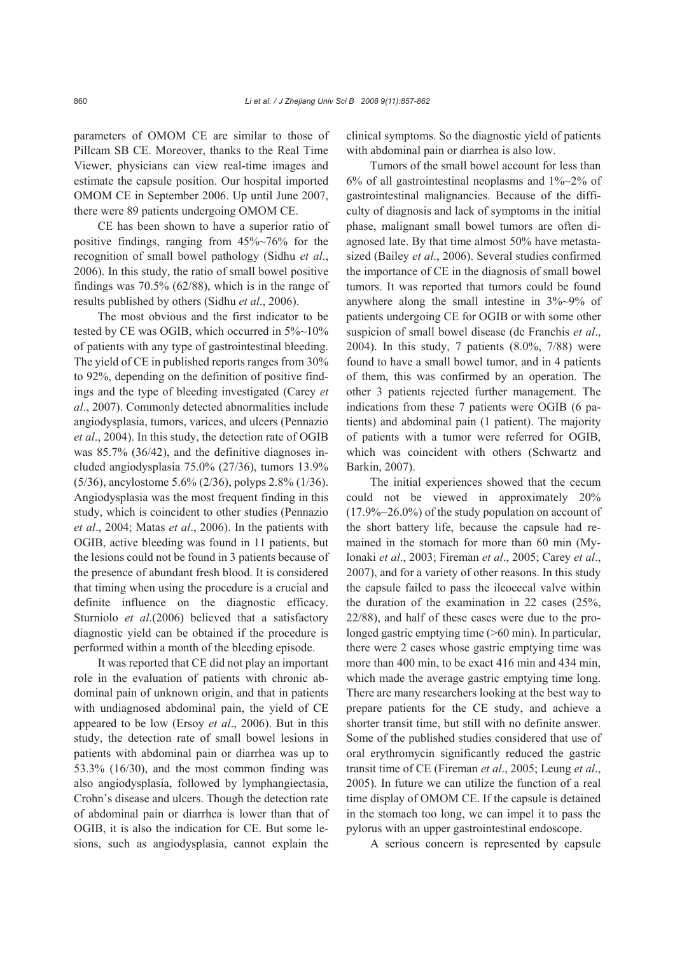parameters of OMOM CE are similar to those of Pillcam SB CE. Moreover, thanks to the Real Time Viewer, physicians can view real-time images and estimate the capsule position. Our hospital imported OMOM CE in September 2006. Up until June 2007, there were 89 patients undergoing OMOM CE.

CE has been shown to have a superior ratio of positive findings, ranging from 45%~76% for the recognition of small bowel pathology (Sidhu *et al*., 2006). In this study, the ratio of small bowel positive findings was 70.5% (62/88), which is in the range of results published by others (Sidhu *et al*., 2006).

The most obvious and the first indicator to be tested by CE was OGIB, which occurred in  $5\%$ ~10% of patients with any type of gastrointestinal bleeding. The yield of CE in published reports ranges from 30% to 92%, depending on the definition of positive findings and the type of bleeding investigated (Carey *et al*., 2007). Commonly detected abnormalities include angiodysplasia, tumors, varices, and ulcers (Pennazio *et al*., 2004). In this study, the detection rate of OGIB was 85.7% (36/42), and the definitive diagnoses included angiodysplasia 75.0% (27/36), tumors 13.9% (5/36), ancylostome 5.6% (2/36), polyps 2.8% (1/36). Angiodysplasia was the most frequent finding in this study, which is coincident to other studies (Pennazio *et al*., 2004; Matas *et al*., 2006). In the patients with OGIB, active bleeding was found in 11 patients, but the lesions could not be found in 3 patients because of the presence of abundant fresh blood. It is considered that timing when using the procedure is a crucial and definite influence on the diagnostic efficacy. Sturniolo *et al*.(2006) believed that a satisfactory diagnostic yield can be obtained if the procedure is performed within a month of the bleeding episode.

It was reported that CE did not play an important role in the evaluation of patients with chronic abdominal pain of unknown origin, and that in patients with undiagnosed abdominal pain, the yield of CE appeared to be low (Ersoy *et al*., 2006). But in this study, the detection rate of small bowel lesions in patients with abdominal pain or diarrhea was up to 53.3% (16/30), and the most common finding was also angiodysplasia, followed by lymphangiectasia, Crohn's disease and ulcers. Though the detection rate of abdominal pain or diarrhea is lower than that of OGIB, it is also the indication for CE. But some lesions, such as angiodysplasia, cannot explain the

clinical symptoms. So the diagnostic yield of patients with abdominal pain or diarrhea is also low.

Tumors of the small bowel account for less than 6% of all gastrointestinal neoplasms and  $1\%~2\%$  of gastrointestinal malignancies. Because of the difficulty of diagnosis and lack of symptoms in the initial phase, malignant small bowel tumors are often diagnosed late. By that time almost 50% have metastasized (Bailey *et al*., 2006). Several studies confirmed the importance of CE in the diagnosis of small bowel tumors. It was reported that tumors could be found anywhere along the small intestine in 3%~9% of patients undergoing CE for OGIB or with some other suspicion of small bowel disease (de Franchis *et al*., 2004). In this study, 7 patients (8.0%, 7/88) were found to have a small bowel tumor, and in 4 patients of them, this was confirmed by an operation. The other 3 patients rejected further management. The indications from these 7 patients were OGIB (6 patients) and abdominal pain (1 patient). The majority of patients with a tumor were referred for OGIB, which was coincident with others (Schwartz and Barkin, 2007).

The initial experiences showed that the cecum could not be viewed in approximately 20%  $(17.9\%~26.0\%)$  of the study population on account of the short battery life, because the capsule had remained in the stomach for more than 60 min (Mylonaki *et al*., 2003; Fireman *et al*., 2005; Carey *et al*., 2007), and for a variety of other reasons. In this study the capsule failed to pass the ileocecal valve within the duration of the examination in 22 cases (25%, 22/88), and half of these cases were due to the prolonged gastric emptying time ( $>60$  min). In particular, there were 2 cases whose gastric emptying time was more than 400 min, to be exact 416 min and 434 min, which made the average gastric emptying time long. There are many researchers looking at the best way to prepare patients for the CE study, and achieve a shorter transit time, but still with no definite answer. Some of the published studies considered that use of oral erythromycin significantly reduced the gastric transit time of CE (Fireman *et al*., 2005; Leung *et al*., 2005). In future we can utilize the function of a real time display of OMOM CE. If the capsule is detained in the stomach too long, we can impel it to pass the pylorus with an upper gastrointestinal endoscope.

A serious concern is represented by capsule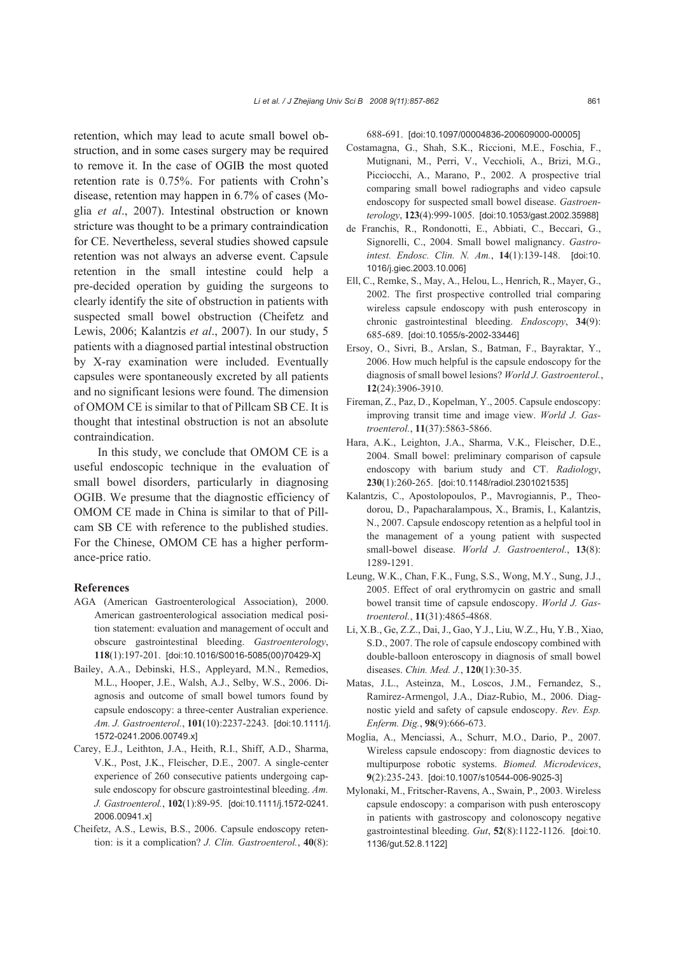retention, which may lead to acute small bowel obstruction, and in some cases surgery may be required to remove it. In the case of OGIB the most quoted retention rate is 0.75%. For patients with Crohn's disease, retention may happen in 6.7% of cases (Moglia *et al*., 2007). Intestinal obstruction or known stricture was thought to be a primary contraindication for CE. Nevertheless, several studies showed capsule retention was not always an adverse event. Capsule retention in the small intestine could help a pre-decided operation by guiding the surgeons to clearly identify the site of obstruction in patients with suspected small bowel obstruction (Cheifetz and Lewis, 2006; Kalantzis *et al*., 2007). In our study, 5 patients with a diagnosed partial intestinal obstruction by X-ray examination were included. Eventually capsules were spontaneously excreted by all patients and no significant lesions were found. The dimension of OMOM CE is similar to that of Pillcam SB CE. It is thought that intestinal obstruction is not an absolute contraindication.

In this study, we conclude that OMOM CE is a useful endoscopic technique in the evaluation of small bowel disorders, particularly in diagnosing OGIB. We presume that the diagnostic efficiency of OMOM CE made in China is similar to that of Pillcam SB CE with reference to the published studies. For the Chinese, OMOM CE has a higher performance-price ratio.

#### **References**

- AGA (American Gastroenterological Association), 2000. American gastroenterological association medical position statement: evaluation and management of occult and obscure gastrointestinal bleeding. *Gastroenterology*, **118**(1):197-201. [doi:10.1016/S0016-5085(00)70429-X]
- Bailey, A.A., Debinski, H.S., Appleyard, M.N., Remedios, M.L., Hooper, J.E., Walsh, A.J., Selby, W.S., 2006. Diagnosis and outcome of small bowel tumors found by capsule endoscopy: a three-center Australian experience. *Am. J. Gastroenterol.*, **101**(10):2237-2243. [doi:10.1111/j. 1572-0241.2006.00749.x]
- Carey, E.J., Leithton, J.A., Heith, R.I., Shiff, A.D., Sharma, V.K., Post, J.K., Fleischer, D.E., 2007. A single-center experience of 260 consecutive patients undergoing capsule endoscopy for obscure gastrointestinal bleeding. *Am. J. Gastroenterol.*, **102**(1):89-95. [doi:10.1111/j.1572-0241. 2006.00941.x]
- Cheifetz, A.S., Lewis, B.S., 2006. Capsule endoscopy retention: is it a complication? *J. Clin. Gastroenterol.*, **40**(8):

688-691. [doi:10.1097/00004836-200609000-00005]

- Costamagna, G., Shah, S.K., Riccioni, M.E., Foschia, F., Mutignani, M., Perri, V., Vecchioli, A., Brizi, M.G., Picciocchi, A., Marano, P., 2002. A prospective trial comparing small bowel radiographs and video capsule endoscopy for suspected small bowel disease. *Gastroenterology*, **123**(4):999-1005. [doi:10.1053/gast.2002.35988]
- de Franchis, R., Rondonotti, E., Abbiati, C., Beccari, G., Signorelli, C., 2004. Small bowel malignancy. *Gastrointest. Endosc. Clin. N. Am.*, **14**(1):139-148. [doi:10. 1016/j.giec.2003.10.006]
- Ell, C., Remke, S., May, A., Helou, L., Henrich, R., Mayer, G., 2002. The first prospective controlled trial comparing wireless capsule endoscopy with push enteroscopy in chronic gastrointestinal bleeding. *Endoscopy*, **34**(9): 685-689. [doi:10.1055/s-2002-33446]
- Ersoy, O., Sivri, B., Arslan, S., Batman, F., Bayraktar, Y., 2006. How much helpful is the capsule endoscopy for the diagnosis of small bowel lesions? *World J. Gastroenterol.*, **12**(24):3906-3910.
- Fireman, Z., Paz, D., Kopelman, Y., 2005. Capsule endoscopy: improving transit time and image view. *World J. Gastroenterol.*, **11**(37):5863-5866.
- Hara, A.K., Leighton, J.A., Sharma, V.K., Fleischer, D.E., 2004. Small bowel: preliminary comparison of capsule endoscopy with barium study and CT. *Radiology*, **230**(1):260-265. [doi:10.1148/radiol.2301021535]
- Kalantzis, C., Apostolopoulos, P., Mavrogiannis, P., Theodorou, D., Papacharalampous, X., Bramis, I., Kalantzis, N., 2007. Capsule endoscopy retention as a helpful tool in the management of a young patient with suspected small-bowel disease. *World J. Gastroenterol.*, **13**(8): 1289-1291.
- Leung, W.K., Chan, F.K., Fung, S.S., Wong, M.Y., Sung, J.J., 2005. Effect of oral erythromycin on gastric and small bowel transit time of capsule endoscopy. *World J. Gastroenterol.*, **11**(31):4865-4868.
- Li, X.B., Ge, Z.Z., Dai, J., Gao, Y.J., Liu, W.Z., Hu, Y.B., Xiao, S.D., 2007. The role of capsule endoscopy combined with double-balloon enteroscopy in diagnosis of small bowel diseases. *Chin. Med. J.*, **120**(1):30-35.
- Matas, J.L., Asteinza, M., Loscos, J.M., Fernandez, S., Ramirez-Armengol, J.A., Diaz-Rubio, M., 2006. Diagnostic yield and safety of capsule endoscopy. *Rev. Esp. Enferm. Dig.*, **98**(9):666-673.
- Moglia, A., Menciassi, A., Schurr, M.O., Dario, P., 2007. Wireless capsule endoscopy: from diagnostic devices to multipurpose robotic systems. *Biomed. Microdevices*, **9**(2):235-243. [doi:10.1007/s10544-006-9025-3]
- Mylonaki, M., Fritscher-Ravens, A., Swain, P., 2003. Wireless capsule endoscopy: a comparison with push enteroscopy in patients with gastroscopy and colonoscopy negative gastrointestinal bleeding. *Gut*, **52**(8):1122-1126. [doi:10. 1136/gut.52.8.1122]